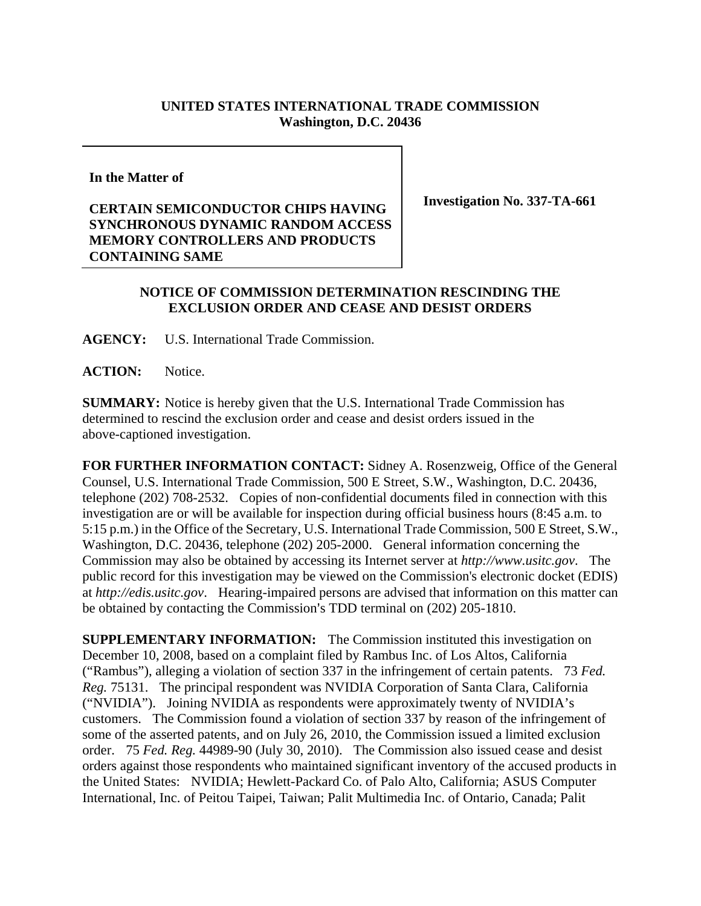## **UNITED STATES INTERNATIONAL TRADE COMMISSION Washington, D.C. 20436**

**In the Matter of** 

## **CERTAIN SEMICONDUCTOR CHIPS HAVING SYNCHRONOUS DYNAMIC RANDOM ACCESS MEMORY CONTROLLERS AND PRODUCTS CONTAINING SAME**

**Investigation No. 337-TA-661** 

## **NOTICE OF COMMISSION DETERMINATION RESCINDING THE EXCLUSION ORDER AND CEASE AND DESIST ORDERS**

**AGENCY:** U.S. International Trade Commission.

**ACTION:** Notice.

**SUMMARY:** Notice is hereby given that the U.S. International Trade Commission has determined to rescind the exclusion order and cease and desist orders issued in the above-captioned investigation.

**FOR FURTHER INFORMATION CONTACT:** Sidney A. Rosenzweig, Office of the General Counsel, U.S. International Trade Commission, 500 E Street, S.W., Washington, D.C. 20436, telephone (202) 708-2532. Copies of non-confidential documents filed in connection with this investigation are or will be available for inspection during official business hours (8:45 a.m. to 5:15 p.m.) in the Office of the Secretary, U.S. International Trade Commission, 500 E Street, S.W., Washington, D.C. 20436, telephone (202) 205-2000. General information concerning the Commission may also be obtained by accessing its Internet server at *http://www.usitc.gov*. The public record for this investigation may be viewed on the Commission's electronic docket (EDIS) at *http://edis.usitc.gov*. Hearing-impaired persons are advised that information on this matter can be obtained by contacting the Commission's TDD terminal on (202) 205-1810.

**SUPPLEMENTARY INFORMATION:** The Commission instituted this investigation on December 10, 2008, based on a complaint filed by Rambus Inc. of Los Altos, California ("Rambus"), alleging a violation of section 337 in the infringement of certain patents. 73 *Fed. Reg.* 75131. The principal respondent was NVIDIA Corporation of Santa Clara, California ("NVIDIA"). Joining NVIDIA as respondents were approximately twenty of NVIDIA's customers. The Commission found a violation of section 337 by reason of the infringement of some of the asserted patents, and on July 26, 2010, the Commission issued a limited exclusion order. 75 *Fed. Reg.* 44989-90 (July 30, 2010). The Commission also issued cease and desist orders against those respondents who maintained significant inventory of the accused products in the United States: NVIDIA; Hewlett-Packard Co. of Palo Alto, California; ASUS Computer International, Inc. of Peitou Taipei, Taiwan; Palit Multimedia Inc. of Ontario, Canada; Palit